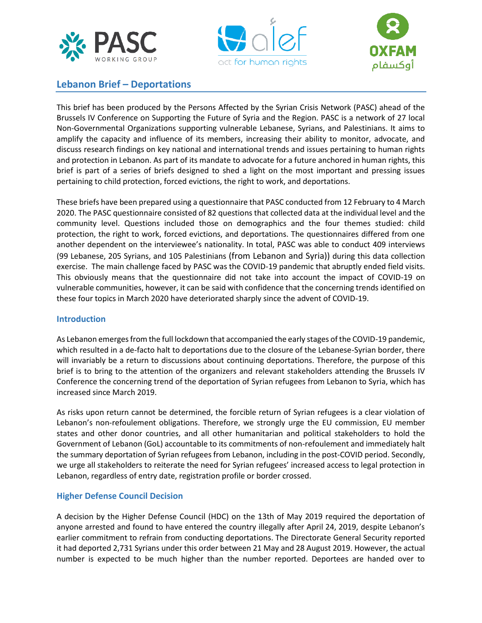





# **Lebanon Brief – Deportations**

This brief has been produced by the Persons Affected by the Syrian Crisis Network (PASC) ahead of the Brussels IV Conference on Supporting the Future of Syria and the Region. PASC is a network of 27 local Non-Governmental Organizations supporting vulnerable Lebanese, Syrians, and Palestinians. It aims to amplify the capacity and influence of its members, increasing their ability to monitor, advocate, and discuss research findings on key national and international trends and issues pertaining to human rights and protection in Lebanon. As part of its mandate to advocate for a future anchored in human rights, this brief is part of a series of briefs designed to shed a light on the most important and pressing issues pertaining to child protection, forced evictions, the right to work, and deportations.

These briefs have been prepared using a questionnaire that PASC conducted from 12 February to 4 March 2020. The PASC questionnaire consisted of 82 questions that collected data at the individual level and the community level. Questions included those on demographics and the four themes studied: child protection, the right to work, forced evictions, and deportations. The questionnaires differed from one another dependent on the interviewee's nationality. In total, PASC was able to conduct 409 interviews (99 Lebanese, 205 Syrians, and 105 Palestinians (from Lebanon and Syria)) during this data collection exercise. The main challenge faced by PASC was the COVID-19 pandemic that abruptly ended field visits. This obviously means that the questionnaire did not take into account the impact of COVID-19 on vulnerable communities, however, it can be said with confidence that the concerning trends identified on these four topics in March 2020 have deteriorated sharply since the advent of COVID-19.

## **Introduction**

As Lebanon emerges from the full lockdown that accompanied the early stages of the COVID-19 pandemic, which resulted in a de-facto halt to deportations due to the closure of the Lebanese-Syrian border, there will invariably be a return to discussions about continuing deportations. Therefore, the purpose of this brief is to bring to the attention of the organizers and relevant stakeholders attending the Brussels IV Conference the concerning trend of the deportation of Syrian refugees from Lebanon to Syria, which has increased since March 2019.

As risks upon return cannot be determined, the forcible return of Syrian refugees is a clear violation of Lebanon's non-refoulement obligations. Therefore, we strongly urge the EU commission, EU member states and other donor countries, and all other humanitarian and political stakeholders to hold the Government of Lebanon (GoL) accountable to its commitments of non-refoulement and immediately halt the summary deportation of Syrian refugees from Lebanon, including in the post-COVID period. Secondly, we urge all stakeholders to reiterate the need for Syrian refugees' increased access to legal protection in Lebanon, regardless of entry date, registration profile or border crossed.

## **Higher Defense Council Decision**

A decision by the Higher Defense Council (HDC) on the 13th of May 2019 required the deportation of anyone arrested and found to have entered the country illegally after April 24, 2019, despite Lebanon's earlier commitment to refrain from conducting deportations. The Directorate General Security reported it had deported 2,731 Syrians under this order between 21 May and 28 August 2019. However, the actual number is expected to be much higher than the number reported. Deportees are handed over to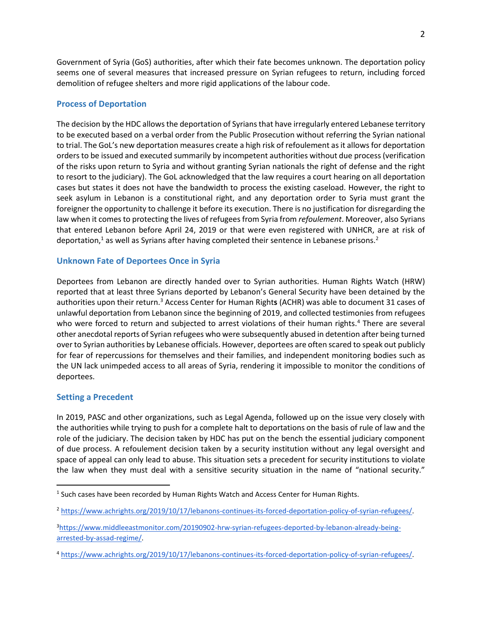Government of Syria (GoS) authorities, after which their fate becomes unknown. The deportation policy seems one of several measures that increased pressure on Syrian refugees to return, including [forced](about:blank)  [demolition of refugee shelters](about:blank) and more rigid applications of the labour code.

#### **Process of Deportation**

The decision by the HDC allows the deportation of Syrians that have irregularly entered Lebanese territory to be executed based on a verbal order from the Public Prosecution without referring the Syrian national to trial. The GoL's new deportation measures create a high risk of refoulement as it allows for deportation orders to be issued and executed summarily by incompetent authorities without due process (verification of the risks upon return to Syria and without granting Syrian nationals the right of defense and the right to resort to the judiciary). The GoL acknowledged that the law requires a court hearing on all deportation cases but states it does not have the bandwidth to process the existing caseload. However, the right to seek asylum in Lebanon is a constitutional right, and any deportation order to Syria must grant the foreigner the opportunity to challenge it before its execution. There is no justification for disregarding the law when it comes to protecting the lives of refugees from Syria from *refoulement*. Moreover, also Syrians that entered Lebanon before April 24, 2019 or that were even registered with UNHCR, are at risk of deportation, $1$  as well as Syrians after having completed their sentence in Lebanese prisons.<sup>2</sup>

#### **Unknown Fate of Deportees Once in Syria**

Deportees from Lebanon are directly handed over to Syrian authorities. Human Rights Watch (HRW) reported that at least three Syrians deported by Lebanon's General Security have been detained by the authorities upon their return.<sup>3</sup> Access Center for Human Right**s** (ACHR) was able to document 31 cases of unlawful deportation from Lebanon since the beginning of 2019, and collected testimonies from refugees who were forced to return and subjected to arrest violations of their human rights.<sup>4</sup> There are several other anecdotal reports of Syrian refugees who were subsequently abused in detention after being turned over to Syrian authorities by Lebanese officials. However, deportees are often scared to speak out publicly for fear of repercussions for themselves and their families, and independent monitoring bodies such as the UN lack unimpeded access to all areas of Syria, rendering it impossible to monitor the conditions of deportees.

#### **Setting a Precedent**

In 2019, PASC and other organizations, such as Legal Agenda, followed up on the issue very closely with the authorities while trying to push for a complete halt to deportations on the basis of rule of law and the role of the judiciary. The decision taken by HDC has put on the bench the essential judiciary component of due process. A refoulement decision taken by a security institution without any legal oversight and space of appeal can only lead to abuse. This situation sets a precedent for security institutions to violate the law when they must deal with a sensitive security situation in the name of "national security."

<sup>&</sup>lt;sup>1</sup> Such cases have been recorded by Human Rights Watch and Access Center for Human Rights.

<sup>2</sup> [https://www.achrights.org/2019/10/17/lebanons-continues-its-forced-deportation-policy-of-syrian-refugees/.](about:blank)

<sup>3</sup>[https://www.middleeastmonitor.com/20190902-hrw-syrian-refugees-deported-by-lebanon-already-being](about:blank)[arrested-by-assad-regime/.](about:blank)

<sup>4</sup> [https://www.achrights.org/2019/10/17/lebanons-continues-its-forced-deportation-policy-of-syrian-refugees/.](about:blank)